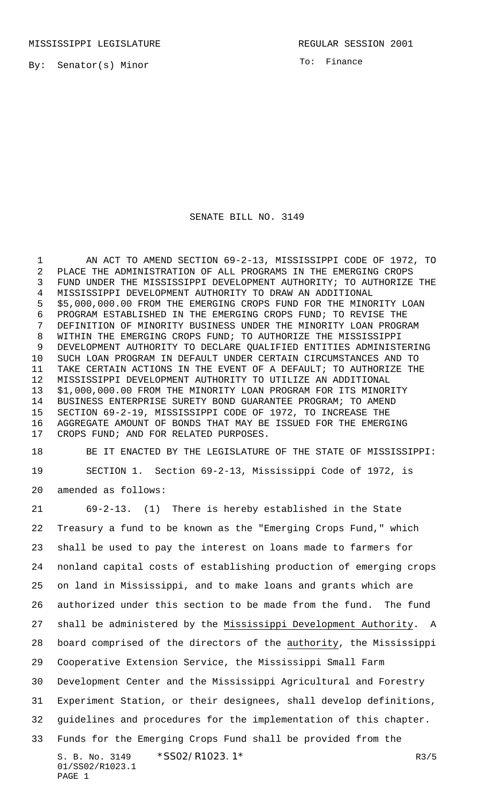By: Senator(s) Minor

To: Finance

## SENATE BILL NO. 3149

 AN ACT TO AMEND SECTION 69-2-13, MISSISSIPPI CODE OF 1972, TO PLACE THE ADMINISTRATION OF ALL PROGRAMS IN THE EMERGING CROPS FUND UNDER THE MISSISSIPPI DEVELOPMENT AUTHORITY; TO AUTHORIZE THE MISSISSIPPI DEVELOPMENT AUTHORITY TO DRAW AN ADDITIONAL \$5,000,000.00 FROM THE EMERGING CROPS FUND FOR THE MINORITY LOAN PROGRAM ESTABLISHED IN THE EMERGING CROPS FUND; TO REVISE THE DEFINITION OF MINORITY BUSINESS UNDER THE MINORITY LOAN PROGRAM WITHIN THE EMERGING CROPS FUND; TO AUTHORIZE THE MISSISSIPPI DEVELOPMENT AUTHORITY TO DECLARE QUALIFIED ENTITIES ADMINISTERING SUCH LOAN PROGRAM IN DEFAULT UNDER CERTAIN CIRCUMSTANCES AND TO TAKE CERTAIN ACTIONS IN THE EVENT OF A DEFAULT; TO AUTHORIZE THE MISSISSIPPI DEVELOPMENT AUTHORITY TO UTILIZE AN ADDITIONAL \$1,000,000.00 FROM THE MINORITY LOAN PROGRAM FOR ITS MINORITY BUSINESS ENTERPRISE SURETY BOND GUARANTEE PROGRAM; TO AMEND SECTION 69-2-19, MISSISSIPPI CODE OF 1972, TO INCREASE THE AGGREGATE AMOUNT OF BONDS THAT MAY BE ISSUED FOR THE EMERGING CROPS FUND; AND FOR RELATED PURPOSES.

 BE IT ENACTED BY THE LEGISLATURE OF THE STATE OF MISSISSIPPI: SECTION 1. Section 69-2-13, Mississippi Code of 1972, is amended as follows:

S. B. No. 3149 \* SS02/R1023.1\* R3/5 01/SS02/R1023.1 PAGE 1 69-2-13. (1) There is hereby established in the State Treasury a fund to be known as the "Emerging Crops Fund," which shall be used to pay the interest on loans made to farmers for nonland capital costs of establishing production of emerging crops on land in Mississippi, and to make loans and grants which are authorized under this section to be made from the fund. The fund shall be administered by the Mississippi Development Authority. A board comprised of the directors of the authority, the Mississippi Cooperative Extension Service, the Mississippi Small Farm Development Center and the Mississippi Agricultural and Forestry Experiment Station, or their designees, shall develop definitions, guidelines and procedures for the implementation of this chapter. Funds for the Emerging Crops Fund shall be provided from the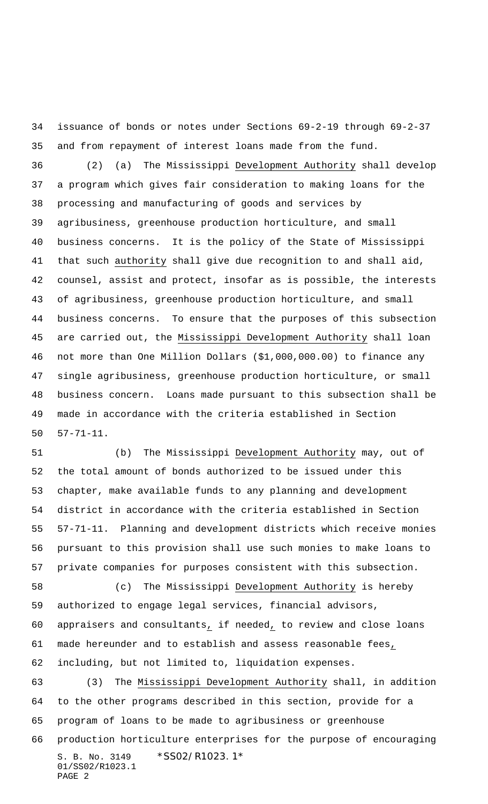issuance of bonds or notes under Sections 69-2-19 through 69-2-37 and from repayment of interest loans made from the fund.

 (2) (a) The Mississippi Development Authority shall develop a program which gives fair consideration to making loans for the processing and manufacturing of goods and services by agribusiness, greenhouse production horticulture, and small business concerns. It is the policy of the State of Mississippi that such authority shall give due recognition to and shall aid, counsel, assist and protect, insofar as is possible, the interests of agribusiness, greenhouse production horticulture, and small business concerns. To ensure that the purposes of this subsection are carried out, the Mississippi Development Authority shall loan not more than One Million Dollars (\$1,000,000.00) to finance any single agribusiness, greenhouse production horticulture, or small business concern. Loans made pursuant to this subsection shall be made in accordance with the criteria established in Section 57-71-11.

 (b) The Mississippi Development Authority may, out of the total amount of bonds authorized to be issued under this chapter, make available funds to any planning and development district in accordance with the criteria established in Section 57-71-11. Planning and development districts which receive monies pursuant to this provision shall use such monies to make loans to private companies for purposes consistent with this subsection. (c) The Mississippi Development Authority is hereby

 authorized to engage legal services, financial advisors, appraisers and consultants, if needed, to review and close loans made hereunder and to establish and assess reasonable fees, including, but not limited to, liquidation expenses.

S. B. No. 3149 \*SS02/R1023.1\* 01/SS02/R1023.1 PAGE 2 (3) The Mississippi Development Authority shall, in addition to the other programs described in this section, provide for a program of loans to be made to agribusiness or greenhouse production horticulture enterprises for the purpose of encouraging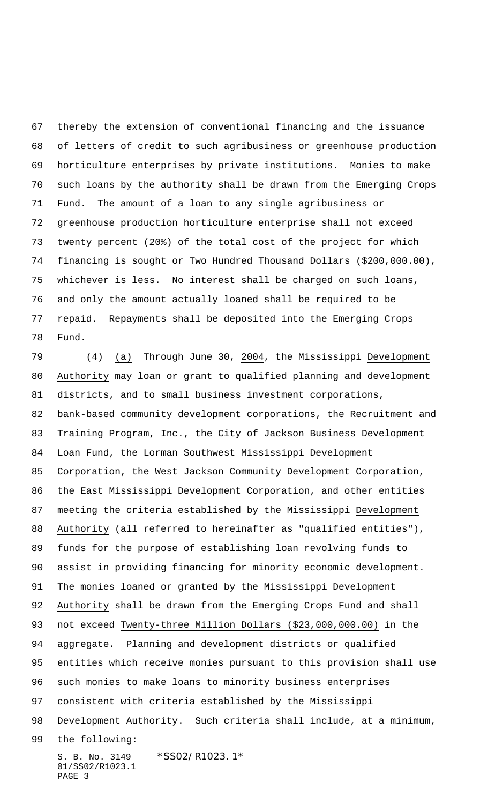thereby the extension of conventional financing and the issuance of letters of credit to such agribusiness or greenhouse production horticulture enterprises by private institutions. Monies to make such loans by the authority shall be drawn from the Emerging Crops Fund. The amount of a loan to any single agribusiness or greenhouse production horticulture enterprise shall not exceed twenty percent (20%) of the total cost of the project for which financing is sought or Two Hundred Thousand Dollars (\$200,000.00), whichever is less. No interest shall be charged on such loans, and only the amount actually loaned shall be required to be repaid. Repayments shall be deposited into the Emerging Crops Fund.

S. B. No. 3149 \*SS02/R1023.1\* 01/SS02/R1023.1 (4) (a) Through June 30, 2004, the Mississippi Development Authority may loan or grant to qualified planning and development districts, and to small business investment corporations, bank-based community development corporations, the Recruitment and Training Program, Inc., the City of Jackson Business Development Loan Fund, the Lorman Southwest Mississippi Development Corporation, the West Jackson Community Development Corporation, the East Mississippi Development Corporation, and other entities meeting the criteria established by the Mississippi Development Authority (all referred to hereinafter as "qualified entities"), funds for the purpose of establishing loan revolving funds to assist in providing financing for minority economic development. 91 The monies loaned or granted by the Mississippi Development Authority shall be drawn from the Emerging Crops Fund and shall not exceed Twenty-three Million Dollars (\$23,000,000.00) in the aggregate. Planning and development districts or qualified entities which receive monies pursuant to this provision shall use such monies to make loans to minority business enterprises consistent with criteria established by the Mississippi 98 Development Authority. Such criteria shall include, at a minimum, the following:

PAGE 3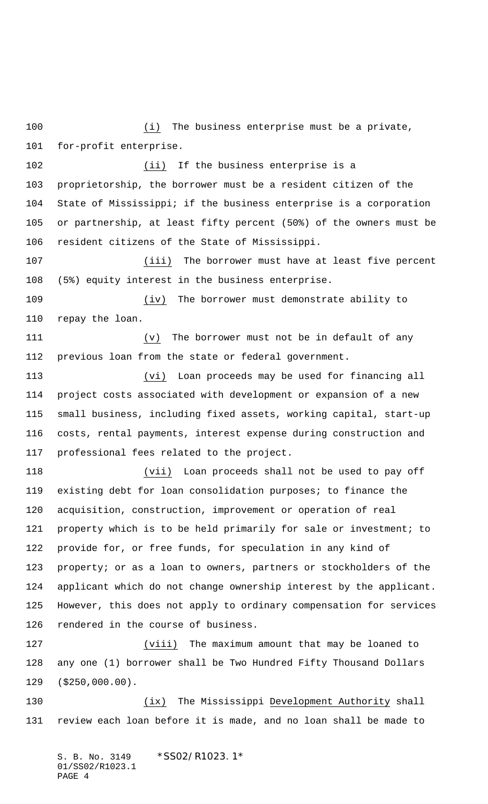100 (i) The business enterprise must be a private, for-profit enterprise.

 (ii) If the business enterprise is a proprietorship, the borrower must be a resident citizen of the State of Mississippi; if the business enterprise is a corporation or partnership, at least fifty percent (50%) of the owners must be resident citizens of the State of Mississippi.

107 (iii) The borrower must have at least five percent (5%) equity interest in the business enterprise.

 (iv) The borrower must demonstrate ability to repay the loan.

 (v) The borrower must not be in default of any previous loan from the state or federal government.

 (vi) Loan proceeds may be used for financing all project costs associated with development or expansion of a new small business, including fixed assets, working capital, start-up costs, rental payments, interest expense during construction and professional fees related to the project.

 (vii) Loan proceeds shall not be used to pay off existing debt for loan consolidation purposes; to finance the acquisition, construction, improvement or operation of real property which is to be held primarily for sale or investment; to provide for, or free funds, for speculation in any kind of property; or as a loan to owners, partners or stockholders of the applicant which do not change ownership interest by the applicant. However, this does not apply to ordinary compensation for services rendered in the course of business.

 (viii) The maximum amount that may be loaned to any one (1) borrower shall be Two Hundred Fifty Thousand Dollars (\$250,000.00).

 (ix) The Mississippi Development Authority shall review each loan before it is made, and no loan shall be made to

S. B. No. 3149 \*SS02/R1023.1\* 01/SS02/R1023.1 PAGE 4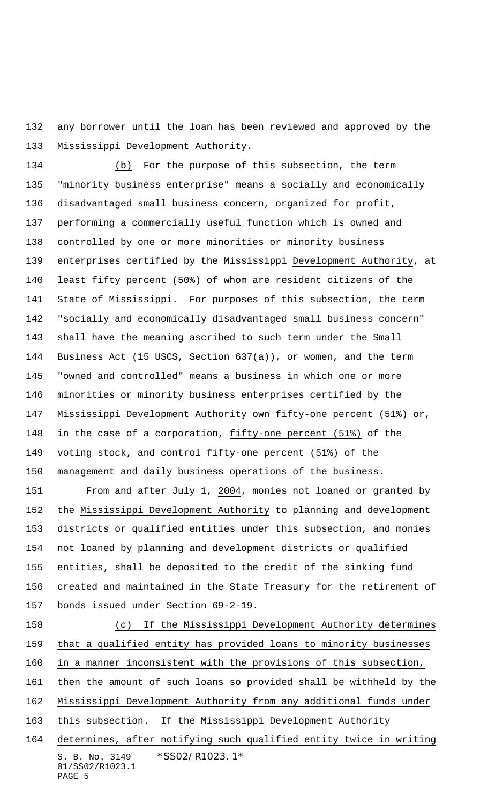any borrower until the loan has been reviewed and approved by the Mississippi Development Authority.

 (b) For the purpose of this subsection, the term "minority business enterprise" means a socially and economically disadvantaged small business concern, organized for profit, performing a commercially useful function which is owned and controlled by one or more minorities or minority business enterprises certified by the Mississippi Development Authority, at least fifty percent (50%) of whom are resident citizens of the State of Mississippi. For purposes of this subsection, the term "socially and economically disadvantaged small business concern" shall have the meaning ascribed to such term under the Small Business Act (15 USCS, Section 637(a)), or women, and the term "owned and controlled" means a business in which one or more minorities or minority business enterprises certified by the Mississippi Development Authority own fifty-one percent (51%) or, 148 in the case of a corporation, fifty-one percent (51%) of the 149 voting stock, and control fifty-one percent (51%) of the management and daily business operations of the business.

 From and after July 1, 2004, monies not loaned or granted by the Mississippi Development Authority to planning and development districts or qualified entities under this subsection, and monies not loaned by planning and development districts or qualified entities, shall be deposited to the credit of the sinking fund created and maintained in the State Treasury for the retirement of bonds issued under Section 69-2-19.

S. B. No. 3149 \* SS02/R1023.1\* 01/SS02/R1023.1 PAGE 5 (c) If the Mississippi Development Authority determines that a qualified entity has provided loans to minority businesses in a manner inconsistent with the provisions of this subsection, then the amount of such loans so provided shall be withheld by the Mississippi Development Authority from any additional funds under this subsection. If the Mississippi Development Authority determines, after notifying such qualified entity twice in writing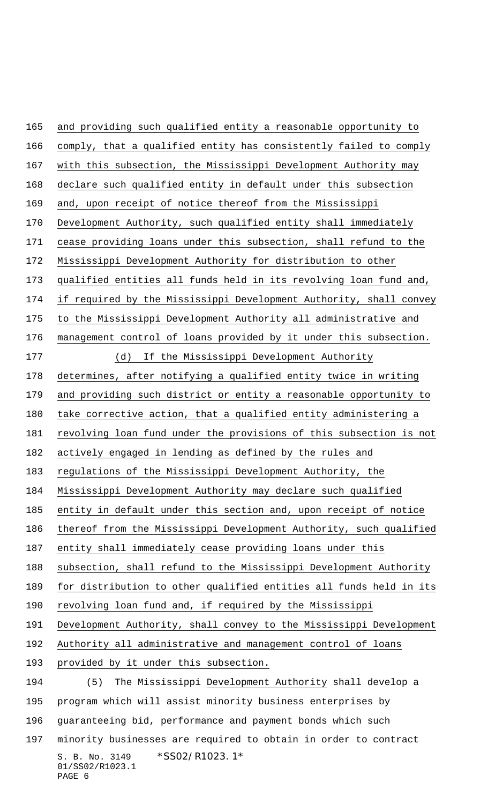S. B. No. 3149 \*SS02/R1023.1\* 01/SS02/R1023.1 and providing such qualified entity a reasonable opportunity to comply, that a qualified entity has consistently failed to comply with this subsection, the Mississippi Development Authority may declare such qualified entity in default under this subsection and, upon receipt of notice thereof from the Mississippi Development Authority, such qualified entity shall immediately cease providing loans under this subsection, shall refund to the Mississippi Development Authority for distribution to other qualified entities all funds held in its revolving loan fund and, if required by the Mississippi Development Authority, shall convey to the Mississippi Development Authority all administrative and management control of loans provided by it under this subsection. (d) If the Mississippi Development Authority determines, after notifying a qualified entity twice in writing and providing such district or entity a reasonable opportunity to take corrective action, that a qualified entity administering a revolving loan fund under the provisions of this subsection is not actively engaged in lending as defined by the rules and regulations of the Mississippi Development Authority, the Mississippi Development Authority may declare such qualified entity in default under this section and, upon receipt of notice thereof from the Mississippi Development Authority, such qualified entity shall immediately cease providing loans under this 188 subsection, shall refund to the Mississippi Development Authority for distribution to other qualified entities all funds held in its revolving loan fund and, if required by the Mississippi Development Authority, shall convey to the Mississippi Development Authority all administrative and management control of loans provided by it under this subsection. (5) The Mississippi Development Authority shall develop a program which will assist minority business enterprises by guaranteeing bid, performance and payment bonds which such minority businesses are required to obtain in order to contract

PAGE 6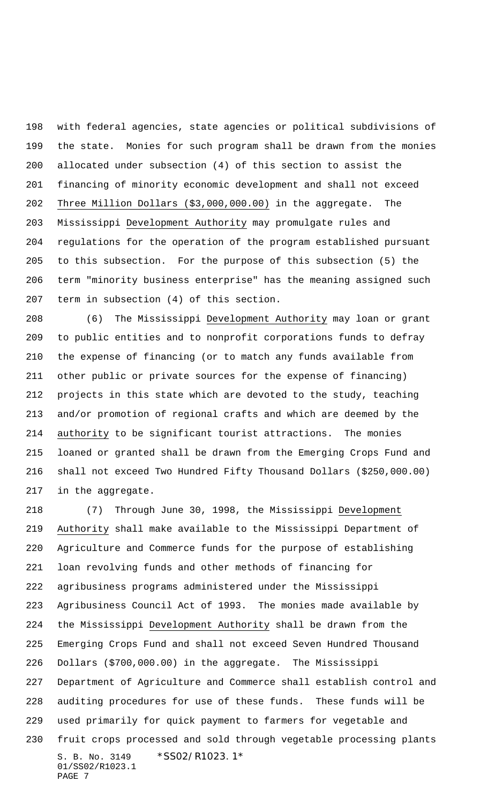with federal agencies, state agencies or political subdivisions of the state. Monies for such program shall be drawn from the monies allocated under subsection (4) of this section to assist the financing of minority economic development and shall not exceed Three Million Dollars (\$3,000,000.00) in the aggregate. The Mississippi Development Authority may promulgate rules and regulations for the operation of the program established pursuant to this subsection. For the purpose of this subsection (5) the term "minority business enterprise" has the meaning assigned such term in subsection (4) of this section.

 (6) The Mississippi Development Authority may loan or grant to public entities and to nonprofit corporations funds to defray the expense of financing (or to match any funds available from other public or private sources for the expense of financing) projects in this state which are devoted to the study, teaching and/or promotion of regional crafts and which are deemed by the authority to be significant tourist attractions. The monies loaned or granted shall be drawn from the Emerging Crops Fund and shall not exceed Two Hundred Fifty Thousand Dollars (\$250,000.00) in the aggregate.

S. B. No. 3149 \*SS02/R1023.1\* 01/SS02/R1023.1 PAGE 7 (7) Through June 30, 1998, the Mississippi Development Authority shall make available to the Mississippi Department of Agriculture and Commerce funds for the purpose of establishing loan revolving funds and other methods of financing for agribusiness programs administered under the Mississippi Agribusiness Council Act of 1993. The monies made available by the Mississippi Development Authority shall be drawn from the Emerging Crops Fund and shall not exceed Seven Hundred Thousand Dollars (\$700,000.00) in the aggregate. The Mississippi Department of Agriculture and Commerce shall establish control and auditing procedures for use of these funds. These funds will be used primarily for quick payment to farmers for vegetable and fruit crops processed and sold through vegetable processing plants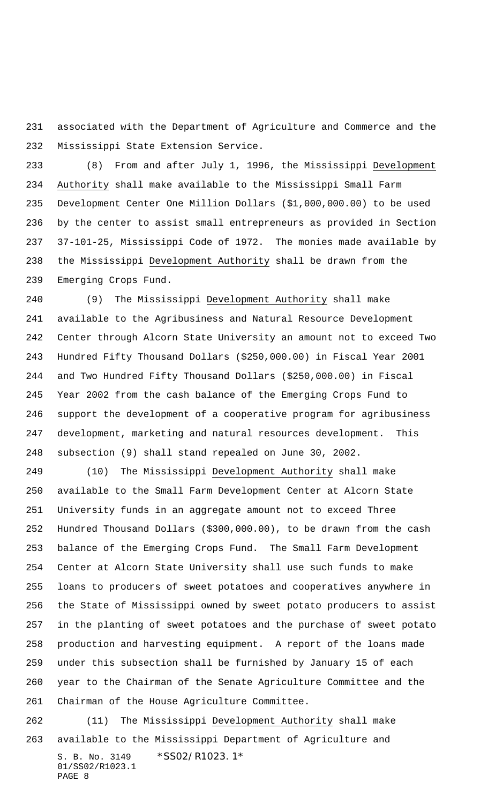associated with the Department of Agriculture and Commerce and the Mississippi State Extension Service.

 (8) From and after July 1, 1996, the Mississippi Development Authority shall make available to the Mississippi Small Farm Development Center One Million Dollars (\$1,000,000.00) to be used by the center to assist small entrepreneurs as provided in Section 37-101-25, Mississippi Code of 1972. The monies made available by the Mississippi Development Authority shall be drawn from the Emerging Crops Fund.

 (9) The Mississippi Development Authority shall make available to the Agribusiness and Natural Resource Development Center through Alcorn State University an amount not to exceed Two Hundred Fifty Thousand Dollars (\$250,000.00) in Fiscal Year 2001 and Two Hundred Fifty Thousand Dollars (\$250,000.00) in Fiscal Year 2002 from the cash balance of the Emerging Crops Fund to support the development of a cooperative program for agribusiness development, marketing and natural resources development. This subsection (9) shall stand repealed on June 30, 2002.

 (10) The Mississippi Development Authority shall make available to the Small Farm Development Center at Alcorn State University funds in an aggregate amount not to exceed Three Hundred Thousand Dollars (\$300,000.00), to be drawn from the cash balance of the Emerging Crops Fund. The Small Farm Development Center at Alcorn State University shall use such funds to make loans to producers of sweet potatoes and cooperatives anywhere in the State of Mississippi owned by sweet potato producers to assist in the planting of sweet potatoes and the purchase of sweet potato production and harvesting equipment. A report of the loans made under this subsection shall be furnished by January 15 of each year to the Chairman of the Senate Agriculture Committee and the Chairman of the House Agriculture Committee.

S. B. No. 3149 \* SS02/R1023.1\* 01/SS02/R1023.1 PAGE 8 (11) The Mississippi Development Authority shall make available to the Mississippi Department of Agriculture and